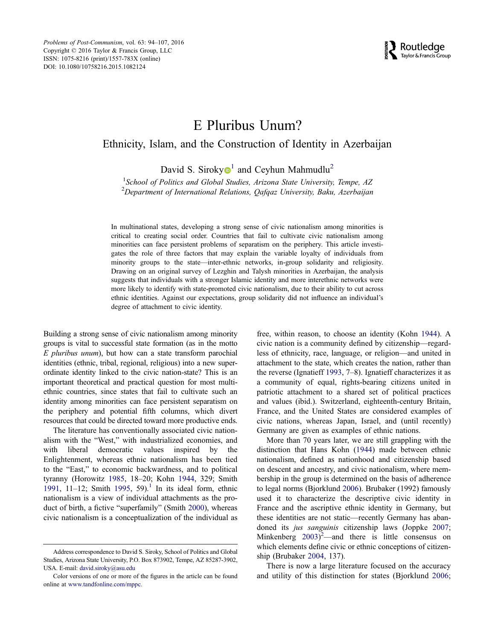

# E Pluribus Unum?

# Ethnicity, Islam, and the Construction of Identity in Azerbaijan

David S. Siroky<sup> $\theta$ </sup> and Ceyhun Mahmudlu<sup>2</sup>

<sup>1</sup>School of Politics and Global Studies, Arizona State University, Tempe, AZ  $2$ Department of International Relations, Qafqaz University, Baku, Azerbaijan

In multinational states, developing a strong sense of civic nationalism among minorities is critical to creating social order. Countries that fail to cultivate civic nationalism among minorities can face persistent problems of separatism on the periphery. This article investigates the role of three factors that may explain the variable loyalty of individuals from minority groups to the state—inter-ethnic networks, in-group solidarity and religiosity. Drawing on an original survey of Lezghin and Talysh minorities in Azerbaijan, the analysis suggests that individuals with a stronger Islamic identity and more interethnic networks were more likely to identify with state-promoted civic nationalism, due to their ability to cut across ethnic identities. Against our expectations, group solidarity did not influence an individual's degree of attachment to civic identity.

Building a strong sense of civic nationalism among minority groups is vital to successful state formation (as in the motto  $E$  pluribus unum), but how can a state transform parochial identities (ethnic, tribal, regional, religious) into a new superordinate identity linked to the civic nation-state? This is an important theoretical and practical question for most multiethnic countries, since states that fail to cultivate such an identity among minorities can face persistent separatism on the periphery and potential fifth columns, which divert resources that could be directed toward more productive ends.

The literature has conventionally associated civic nationalism with the "West," with industrialized economies, and with liberal democratic values inspired by the Enlightenment, whereas ethnic nationalism has been tied to the "East," to economic backwardness, and to political tyranny (Horowitz [1985](#page-11-0), 18–20; Kohn [1944,](#page-11-0) 329; Smith [1991,](#page-12-0) 11–12; Smith [1995](#page-12-0), 59).<sup>[1](#page-10-0)</sup> In its ideal form, ethnic nationalism is a view of individual attachments as the product of birth, a fictive "superfamily" (Smith [2000\)](#page-12-0), whereas civic nationalism is a conceptualization of the individual as

free, within reason, to choose an identity (Kohn [1944](#page-11-0)). A civic nation is a community defined by citizenship—regardless of ethnicity, race, language, or religion—and united in attachment to the state, which creates the nation, rather than the reverse (Ignatieff [1993,](#page-11-0) 7–8). Ignatieff characterizes it as a community of equal, rights-bearing citizens united in patriotic attachment to a shared set of political practices and values (ibid.). Switzerland, eighteenth-century Britain, France, and the United States are considered examples of civic nations, whereas Japan, Israel, and (until recently) Germany are given as examples of ethnic nations.

More than 70 years later, we are still grappling with the distinction that Hans Kohn ([1944\)](#page-11-0) made between ethnic nationalism, defined as nationhood and citizenship based on descent and ancestry, and civic nationalism, where membership in the group is determined on the basis of adherence to legal norms (Bjorklund [2006\)](#page-11-0). Brubaker (1992) famously used it to characterize the descriptive civic identity in France and the ascriptive ethnic identity in Germany, but these identities are not static—recently Germany has abandoned its *jus sanguinis* citizenship laws (Joppke [2007](#page-11-0); Minkenberg  $2003)^2$  $2003)^2$  $2003)^2$ —and there is little consensus on which elements define civic or ethnic conceptions of citizenship (Brubaker [2004,](#page-11-0) 137).

There is now a large literature focused on the accuracy and utility of this distinction for states (Bjorklund [2006](#page-11-0);

Address correspondence to David S. Siroky, School of Politics and Global Studies, Arizona State University, P.O. Box 873902, Tempe, AZ 85287-3902, USA. E-mail: david.siroky@asu.edu

Color versions of one or more of the figures in the article can be found online at [www.tandfonline.com/mppc](http://www.tandfonline.com/mppc).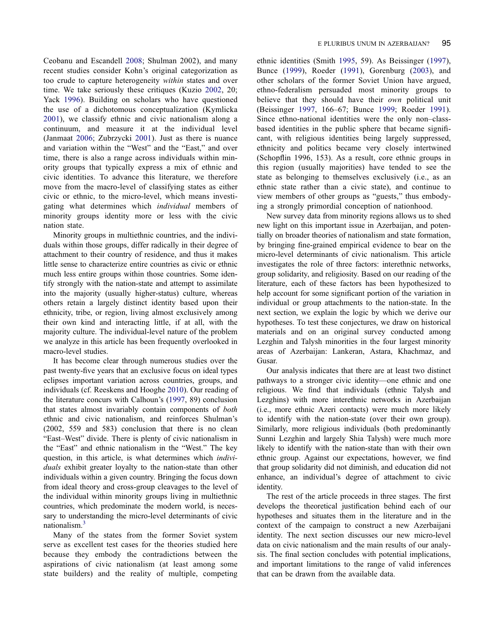Ceobanu and Escandell [2008](#page-11-0); Shulman 2002), and many recent studies consider Kohn's original categorization as too crude to capture heterogeneity within states and over time. We take seriously these critiques (Kuzio [2002](#page-11-0), 20; Yack [1996](#page-12-0)). Building on scholars who have questioned the use of a dichotomous conceptualization (Kymlicka [2001](#page-12-0)), we classify ethnic and civic nationalism along a continuum, and measure it at the individual level (Janmaat [2006;](#page-11-0) Zubrzycki [2001\)](#page-12-0). Just as there is nuance and variation within the "West" and the "East," and over time, there is also a range across individuals within minority groups that typically express a mix of ethnic and civic identities. To advance this literature, we therefore move from the macro-level of classifying states as either civic or ethnic, to the micro-level, which means investigating what determines which individual members of minority groups identity more or less with the civic nation state.

Minority groups in multiethnic countries, and the individuals within those groups, differ radically in their degree of attachment to their country of residence, and thus it makes little sense to characterize entire countries as civic or ethnic much less entire groups within those countries. Some identify strongly with the nation-state and attempt to assimilate into the majority (usually higher-status) culture, whereas others retain a largely distinct identity based upon their ethnicity, tribe, or region, living almost exclusively among their own kind and interacting little, if at all, with the majority culture. The individual-level nature of the problem we analyze in this article has been frequently overlooked in macro-level studies.

It has become clear through numerous studies over the past twenty-five years that an exclusive focus on ideal types eclipses important variation across countries, groups, and individuals (cf. Reeskens and Hooghe [2010](#page-12-0)). Our reading of the literature concurs with Calhoun's ([1997,](#page-11-0) 89) conclusion that states almost invariably contain components of both ethnic and civic nationalism, and reinforces Shulman's (2002, 559 and 583) conclusion that there is no clean "East–West" divide. There is plenty of civic nationalism in the "East" and ethnic nationalism in the "West." The key question, in this article, is what determines which individuals exhibit greater loyalty to the nation-state than other individuals within a given country. Bringing the focus down from ideal theory and cross-group cleavages to the level of the individual within minority groups living in multiethnic countries, which predominate the modern world, is necessary to understanding the micro-level determinants of civic nationalism.[3](#page-10-0)

Many of the states from the former Soviet system serve as excellent test cases for the theories studied here because they embody the contradictions between the aspirations of civic nationalism (at least among some state builders) and the reality of multiple, competing

ethnic identities (Smith [1995,](#page-12-0) 59). As Beissinger ([1997](#page-11-0)), Bunce [\(1999\)](#page-11-0), Roeder ([1991](#page-12-0)), Gorenburg ([2003](#page-11-0)), and other scholars of the former Soviet Union have argued, ethno-federalism persuaded most minority groups to believe that they should have their own political unit (Beissinger [1997,](#page-11-0) 166–67; Bunce [1999;](#page-11-0) Roeder [1991](#page-12-0)). Since ethno-national identities were the only non–classbased identities in the public sphere that became significant, with religious identities being largely suppressed, ethnicity and politics became very closely intertwined (Schopflin 1996, 153). As a result, core ethnic groups in this region (usually majorities) have tended to see the state as belonging to themselves exclusively (i.e., as an ethnic state rather than a civic state), and continue to view members of other groups as "guests," thus embodying a strongly primordial conception of nationhood.

New survey data from minority regions allows us to shed new light on this important issue in Azerbaijan, and potentially on broader theories of nationalism and state formation, by bringing fine-grained empirical evidence to bear on the micro-level determinants of civic nationalism. This article investigates the role of three factors: interethnic networks, group solidarity, and religiosity. Based on our reading of the literature, each of these factors has been hypothesized to help account for some significant portion of the variation in individual or group attachments to the nation-state. In the next section, we explain the logic by which we derive our hypotheses. To test these conjectures, we draw on historical materials and on an original survey conducted among Lezghin and Talysh minorities in the four largest minority areas of Azerbaijan: Lankeran, Astara, Khachmaz, and Gusar.

Our analysis indicates that there are at least two distinct pathways to a stronger civic identity—one ethnic and one religious. We find that individuals (ethnic Talysh and Lezghins) with more interethnic networks in Azerbaijan (i.e., more ethnic Azeri contacts) were much more likely to identify with the nation-state (over their own group). Similarly, more religious individuals (both predominantly Sunni Lezghin and largely Shia Talysh) were much more likely to identify with the nation-state than with their own ethnic group. Against our expectations, however, we find that group solidarity did not diminish, and education did not enhance, an individual's degree of attachment to civic identity.

The rest of the article proceeds in three stages. The first develops the theoretical justification behind each of our hypotheses and situates them in the literature and in the context of the campaign to construct a new Azerbaijani identity. The next section discusses our new micro-level data on civic nationalism and the main results of our analysis. The final section concludes with potential implications, and important limitations to the range of valid inferences that can be drawn from the available data.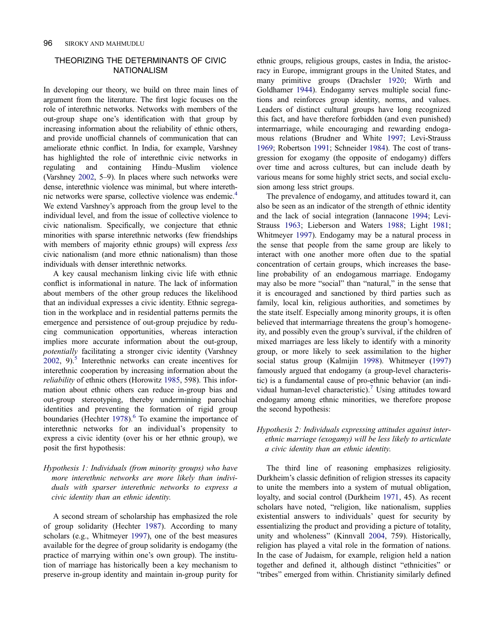# THEORIZING THE DETERMINANTS OF CIVIC NATIONALISM

In developing our theory, we build on three main lines of argument from the literature. The first logic focuses on the role of interethnic networks. Networks with members of the out-group shape one's identification with that group by increasing information about the reliability of ethnic others, and provide unofficial channels of communication that can ameliorate ethnic conflict. In India, for example, Varshney has highlighted the role of interethnic civic networks in regulating and containing Hindu–Muslim violence (Varshney [2002](#page-12-0), 5–9). In places where such networks were dense, interethnic violence was minimal, but where interethnic networks were sparse, collective violence was endemic.<sup>4</sup> We extend Varshney's approach from the group level to the individual level, and from the issue of collective violence to civic nationalism. Specifically, we conjecture that ethnic minorities with sparse interethnic networks (few friendships with members of majority ethnic groups) will express less civic nationalism (and more ethnic nationalism) than those individuals with denser interethnic networks.

A key causal mechanism linking civic life with ethnic conflict is informational in nature. The lack of information about members of the other group reduces the likelihood that an individual expresses a civic identity. Ethnic segregation in the workplace and in residential patterns permits the emergence and persistence of out-group prejudice by reducing communication opportunities, whereas interaction implies more accurate information about the out-group, potentially facilitating a stronger civic identity (Varshney  $2002$ , 9).<sup>[5](#page-10-0)</sup> Interethnic networks can create incentives for interethnic cooperation by increasing information about the reliability of ethnic others (Horowitz [1985,](#page-11-0) 598). This information about ethnic others can reduce in-group bias and out-group stereotyping, thereby undermining parochial identities and preventing the formation of rigid group boundaries (Hechter [1978\)](#page-11-0). $6$  To examine the importance of interethnic networks for an individual's propensity to express a civic identity (over his or her ethnic group), we posit the first hypothesis:

## Hypothesis 1: Individuals (from minority groups) who have more interethnic networks are more likely than individuals with sparser interethnic networks to express a civic identity than an ethnic identity.

A second stream of scholarship has emphasized the role of group solidarity (Hechter [1987\)](#page-11-0). According to many scholars (e.g., Whitmeyer [1997\)](#page-12-0), one of the best measures available for the degree of group solidarity is endogamy (the practice of marrying within one's own group). The institution of marriage has historically been a key mechanism to preserve in-group identity and maintain in-group purity for

ethnic groups, religious groups, castes in India, the aristocracy in Europe, immigrant groups in the United States, and many primitive groups (Drachsler [1920](#page-11-0); Wirth and Goldhamer [1944\)](#page-12-0). Endogamy serves multiple social functions and reinforces group identity, norms, and values. Leaders of distinct cultural groups have long recognized this fact, and have therefore forbidden (and even punished) intermarriage, while encouraging and rewarding endogamous relations (Brudner and White [1997](#page-11-0); Levi-Strauss [1969;](#page-12-0) Robertson [1991;](#page-12-0) Schneider [1984\)](#page-12-0). The cost of transgression for exogamy (the opposite of endogamy) differs over time and across cultures, but can include death by various means for some highly strict sects, and social exclusion among less strict groups.

The prevalence of endogamy, and attitudes toward it, can also be seen as an indicator of the strength of ethnic identity and the lack of social integration (Iannacone [1994](#page-11-0); Levi-Strauss [1963](#page-12-0); Lieberson and Waters [1988](#page-12-0); Light [1981](#page-12-0); Whitmeyer [1997](#page-12-0)). Endogamy may be a natural process in the sense that people from the same group are likely to interact with one another more often due to the spatial concentration of certain groups, which increases the baseline probability of an endogamous marriage. Endogamy may also be more "social" than "natural," in the sense that it is encouraged and sanctioned by third parties such as family, local kin, religious authorities, and sometimes by the state itself. Especially among minority groups, it is often believed that intermarriage threatens the group's homogeneity, and possibly even the group's survival, if the children of mixed marriages are less likely to identify with a minority group, or more likely to seek assimilation to the higher social status group (Kalmijin [1998](#page-11-0)). Whitmeyer ([1997\)](#page-12-0) famously argued that endogamy (a group-level characteristic) is a fundamental cause of pro-ethnic behavior (an indi-vidual human-level characteristic).<sup>[7](#page-10-0)</sup> Using attitudes toward endogamy among ethnic minorities, we therefore propose the second hypothesis:

## Hypothesis 2: Individuals expressing attitudes against interethnic marriage (exogamy) will be less likely to articulate a civic identity than an ethnic identity.

The third line of reasoning emphasizes religiosity. Durkheim's classic definition of religion stresses its capacity to unite the members into a system of mutual obligation, loyalty, and social control (Durkheim [1971,](#page-11-0) 45). As recent scholars have noted, "religion, like nationalism, supplies existential answers to individuals' quest for security by essentializing the product and providing a picture of totality, unity and wholeness" (Kinnvall [2004](#page-11-0), 759). Historically, religion has played a vital role in the formation of nations. In the case of Judaism, for example, religion held a nation together and defined it, although distinct "ethnicities" or "tribes" emerged from within. Christianity similarly defined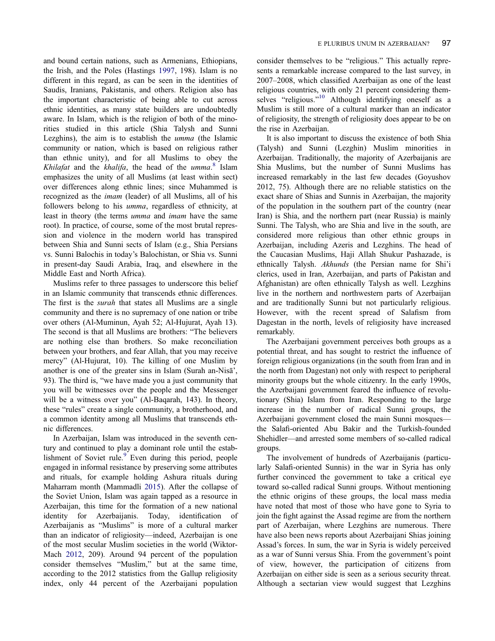and bound certain nations, such as Armenians, Ethiopians, the Irish, and the Poles (Hastings [1997](#page-11-0), 198). Islam is no different in this regard, as can be seen in the identities of Saudis, Iranians, Pakistanis, and others. Religion also has the important characteristic of being able to cut across ethnic identities, as many state builders are undoubtedly aware. In Islam, which is the religion of both of the minorities studied in this article (Shia Talysh and Sunni Lezghins), the aim is to establish the umma (the Islamic community or nation, which is based on religious rather than ethnic unity), and for all Muslims to obey the Khilafat and the khalifa, the head of the  $umma$ .<sup>[8](#page-10-0)</sup> Islam emphasizes the unity of all Muslims (at least within sect) over differences along ethnic lines; since Muhammed is recognized as the imam (leader) of all Muslims, all of his followers belong to his umma, regardless of ethnicity, at least in theory (the terms umma and imam have the same root). In practice, of course, some of the most brutal repression and violence in the modern world has transpired between Shia and Sunni sects of Islam (e.g., Shia Persians vs. Sunni Balochis in today's Balochistan, or Shia vs. Sunni in present-day Saudi Arabia, Iraq, and elsewhere in the Middle East and North Africa).

Muslims refer to three passages to underscore this belief in an Islamic community that transcends ethnic differences. The first is the *surah* that states all Muslims are a single community and there is no supremacy of one nation or tribe over others (Al-Muminun, Ayah 52; Al-Hujurat, Ayah 13). The second is that all Muslims are brothers: "The believers are nothing else than brothers. So make reconciliation between your brothers, and fear Allah, that you may receive mercy" (Al-Hujurat, 10). The killing of one Muslim by another is one of the greater sins in Islam (Surah an-Nisā', 93). The third is, "we have made you a just community that you will be witnesses over the people and the Messenger will be a witness over you" (Al-Baqarah, 143). In theory, these "rules" create a single community, a brotherhood, and a common identity among all Muslims that transcends ethnic differences.

In Azerbaijan, Islam was introduced in the seventh century and continued to play a dominant role until the estab-lishment of Soviet rule.<sup>[9](#page-10-0)</sup> Even during this period, people engaged in informal resistance by preserving some attributes and rituals, for example holding Ashura rituals during Maharram month (Mammadli [2015\)](#page-12-0). After the collapse of the Soviet Union, Islam was again tapped as a resource in Azerbaijan, this time for the formation of a new national identity for Azerbaijanis. Today, identification of Azerbaijanis as "Muslims" is more of a cultural marker than an indicator of religiosity—indeed, Azerbaijan is one of the most secular Muslim societies in the world (Wiktor-Mach [2012,](#page-12-0) 209). Around 94 percent of the population consider themselves "Muslim," but at the same time, according to the 2012 statistics from the Gallup religiosity index, only 44 percent of the Azerbaijani population

consider themselves to be "religious." This actually represents a remarkable increase compared to the last survey, in 2007–2008, which classified Azerbaijan as one of the least religious countries, with only 21 percent considering them-selves "religious."<sup>[10](#page-10-0)</sup> Although identifying oneself as a Muslim is still more of a cultural marker than an indicator of religiosity, the strength of religiosity does appear to be on the rise in Azerbaijan.

It is also important to discuss the existence of both Shia (Talysh) and Sunni (Lezghin) Muslim minorities in Azerbaijan. Traditionally, the majority of Azerbaijanis are Shia Muslims, but the number of Sunni Muslims has increased remarkably in the last few decades (Goyushov 2012, 75). Although there are no reliable statistics on the exact share of Shias and Sunnis in Azerbaijan, the majority of the population in the southern part of the country (near Iran) is Shia, and the northern part (near Russia) is mainly Sunni. The Talysh, who are Shia and live in the south, are considered more religious than other ethnic groups in Azerbaijan, including Azeris and Lezghins. The head of the Caucasian Muslims, Haji Allah Shukur Pashazade, is ethnically Talysh. Akhunds (the Persian name for Shi'i clerics, used in Iran, Azerbaijan, and parts of Pakistan and Afghanistan) are often ethnically Talysh as well. Lezghins live in the northern and northwestern parts of Azerbaijan and are traditionally Sunni but not particularly religious. However, with the recent spread of Salafism from Dagestan in the north, levels of religiosity have increased remarkably.

The Azerbaijani government perceives both groups as a potential threat, and has sought to restrict the influence of foreign religious organizations (in the south from Iran and in the north from Dagestan) not only with respect to peripheral minority groups but the whole citizenry. In the early 1990s, the Azerbaijani government feared the influence of revolutionary (Shia) Islam from Iran. Responding to the large increase in the number of radical Sunni groups, the Azerbaijani government closed the main Sunni mosques the Salafi-oriented Abu Bakir and the Turkish-founded Shehidler—and arrested some members of so-called radical groups.

The involvement of hundreds of Azerbaijanis (particularly Salafi-oriented Sunnis) in the war in Syria has only further convinced the government to take a critical eye toward so-called radical Sunni groups. Without mentioning the ethnic origins of these groups, the local mass media have noted that most of those who have gone to Syria to join the fight against the Assad regime are from the northern part of Azerbaijan, where Lezghins are numerous. There have also been news reports about Azerbaijani Shias joining Assad's forces. In sum, the war in Syria is widely perceived as a war of Sunni versus Shia. From the government's point of view, however, the participation of citizens from Azerbaijan on either side is seen as a serious security threat. Although a sectarian view would suggest that Lezghins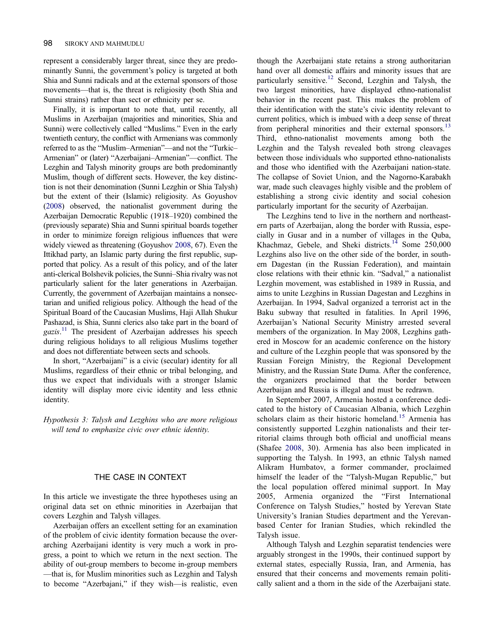represent a considerably larger threat, since they are predominantly Sunni, the government's policy is targeted at both Shia and Sunni radicals and at the external sponsors of those movements—that is, the threat is religiosity (both Shia and Sunni strains) rather than sect or ethnicity per se.

Finally, it is important to note that, until recently, all Muslims in Azerbaijan (majorities and minorities, Shia and Sunni) were collectively called "Muslims." Even in the early twentieth century, the conflict with Armenians was commonly referred to as the "Muslim–Armenian"—and not the "Turkic– Armenian" or (later) "Azerbaijani–Armenian"—conflict. The Lezghin and Talysh minority groups are both predominantly Muslim, though of different sects. However, the key distinction is not their denomination (Sunni Lezghin or Shia Talysh) but the extent of their (Islamic) religiosity. As Goyushov [\(2008](#page-11-0)) observed, the nationalist government during the Azerbaijan Democratic Republic (1918–1920) combined the (previously separate) Shia and Sunni spiritual boards together in order to minimize foreign religious influences that were widely viewed as threatening (Goyushov [2008](#page-11-0), 67). Even the Ittikhad party, an Islamic party during the first republic, supported that policy. As a result of this policy, and of the later anti-clerical Bolshevik policies, the Sunni–Shia rivalry was not particularly salient for the later generations in Azerbaijan. Currently, the government of Azerbaijan maintains a nonsectarian and unified religious policy. Although the head of the Spiritual Board of the Caucasian Muslims, Haji Allah Shukur Pashazad, is Shia, Sunni clerics also take part in the board of gazis.<sup>[11](#page-10-0)</sup> The president of Azerbaijan addresses his speech during religious holidays to all religious Muslims together and does not differentiate between sects and schools.

In short, "Azerbaijani" is a civic (secular) identity for all Muslims, regardless of their ethnic or tribal belonging, and thus we expect that individuals with a stronger Islamic identity will display more civic identity and less ethnic identity.

Hypothesis 3: Talysh and Lezghins who are more religious will tend to emphasize civic over ethnic identity.

## THE CASE IN CONTEXT

In this article we investigate the three hypotheses using an original data set on ethnic minorities in Azerbaijan that covers Lezghin and Talysh villages.

Azerbaijan offers an excellent setting for an examination of the problem of civic identity formation because the overarching Azerbaijani identity is very much a work in progress, a point to which we return in the next section. The ability of out-group members to become in-group members —that is, for Muslim minorities such as Lezghin and Talysh to become "Azerbajani," if they wish—is realistic, even

though the Azerbaijani state retains a strong authoritarian hand over all domestic affairs and minority issues that are particularly sensitive.<sup>[12](#page-10-0)</sup> Second, Lezghin and Talysh, the two largest minorities, have displayed ethno-nationalist behavior in the recent past. This makes the problem of their identification with the state's civic identity relevant to current politics, which is imbued with a deep sense of threat from peripheral minorities and their external sponsors.<sup>[13](#page-10-0)</sup> Third, ethno-nationalist movements among both the Lezghin and the Talysh revealed both strong cleavages between those individuals who supported ethno-nationalists and those who identified with the Azerbaijani nation-state. The collapse of Soviet Union, and the Nagorno-Karabakh war, made such cleavages highly visible and the problem of establishing a strong civic identity and social cohesion particularly important for the security of Azerbaijan.

The Lezghins tend to live in the northern and northeastern parts of Azerbaijan, along the border with Russia, especially in Gusar and in a number of villages in the Quba, Khachmaz, Gebele, and Sheki districts.<sup>[14](#page-10-0)</sup> Some 250,000 Lezghins also live on the other side of the border, in southern Dagestan (in the Russian Federation), and maintain close relations with their ethnic kin. "Sadval," a nationalist Lezghin movement, was established in 1989 in Russia, and aims to unite Lezghins in Russian Dagestan and Lezghins in Azerbaijan. In 1994, Sadval organized a terrorist act in the Baku subway that resulted in fatalities. In April 1996, Azerbaijan's National Security Ministry arrested several members of the organization. In May 2008, Lezghins gathered in Moscow for an academic conference on the history and culture of the Lezghin people that was sponsored by the Russian Foreign Ministry, the Regional Development Ministry, and the Russian State Duma. After the conference, the organizers proclaimed that the border between Azerbaijan and Russia is illegal and must be redrawn.

In September 2007, Armenia hosted a conference dedicated to the history of Caucasian Albania, which Lezghin scholars claim as their historic homeland.<sup>[15](#page-10-0)</sup> Armenia has consistently supported Lezghin nationalists and their territorial claims through both official and unofficial means (Shafee [2008](#page-12-0), 30). Armenia has also been implicated in supporting the Talysh. In 1993, an ethnic Talysh named Alikram Humbatov, a former commander, proclaimed himself the leader of the "Talysh-Mugan Republic," but the local population offered minimal support. In May 2005, Armenia organized the "First International Conference on Talysh Studies," hosted by Yerevan State University's Iranian Studies department and the Yerevanbased Center for Iranian Studies, which rekindled the Talysh issue.

Although Talysh and Lezghin separatist tendencies were arguably strongest in the 1990s, their continued support by external states, especially Russia, Iran, and Armenia, has ensured that their concerns and movements remain politically salient and a thorn in the side of the Azerbaijani state.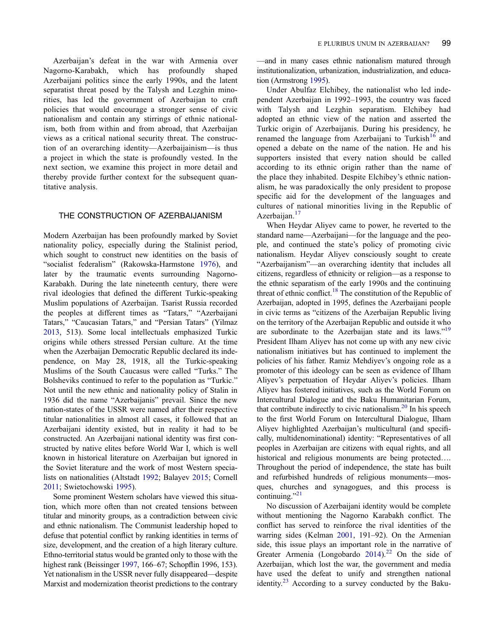Azerbaijan's defeat in the war with Armenia over Nagorno-Karabakh, which has profoundly shaped Azerbaijani politics since the early 1990s, and the latent separatist threat posed by the Talysh and Lezghin minorities, has led the government of Azerbaijan to craft policies that would encourage a stronger sense of civic nationalism and contain any stirrings of ethnic nationalism, both from within and from abroad, that Azerbaijan views as a critical national security threat. The construction of an overarching identity—Azerbaijainism—is thus a project in which the state is profoundly vested. In the next section, we examine this project in more detail and thereby provide further context for the subsequent quantitative analysis.

#### THE CONSTRUCTION OF AZERBAIJANISM

Modern Azerbaijan has been profoundly marked by Soviet nationality policy, especially during the Stalinist period, which sought to construct new identities on the basis of "socialist federalism" (Rakowska-Harmstone [1976](#page-12-0)), and later by the traumatic events surrounding Nagorno-Karabakh. During the late nineteenth century, there were rival ideologies that defined the different Turkic-speaking Muslim populations of Azerbaijan. Tsarist Russia recorded the peoples at different times as "Tatars," "Azerbaijani Tatars," "Caucasian Tatars," and "Persian Tatars" (Yilmaz [2013,](#page-12-0) 513). Some local intellectuals emphasized Turkic origins while others stressed Persian culture. At the time when the Azerbaijan Democratic Republic declared its independence, on May 28, 1918, all the Turkic-speaking Muslims of the South Caucasus were called "Turks." The Bolsheviks continued to refer to the population as "Turkic." Not until the new ethnic and nationality policy of Stalin in 1936 did the name "Azerbaijanis" prevail. Since the new nation-states of the USSR were named after their respective titular nationalities in almost all cases, it followed that an Azerbaijani identity existed, but in reality it had to be constructed. An Azerbaijani national identity was first constructed by native elites before World War I, which is well known in historical literature on Azerbaijan but ignored in the Soviet literature and the work of most Western specialists on nationalities (Altstadt [1992](#page-11-0); Balayev [2015](#page-11-0); Cornell [2011](#page-11-0); Swietochowski [1995](#page-12-0)).

Some prominent Western scholars have viewed this situation, which more often than not created tensions between titular and minority groups, as a contradiction between civic and ethnic nationalism. The Communist leadership hoped to defuse that potential conflict by ranking identities in terms of size, development, and the creation of a high literary culture. Ethno-territorial status would be granted only to those with the highest rank (Beissinger [1997,](#page-11-0) 166–67; Schopflin 1996, 153). Yet nationalism in the USSR never fully disappeared—despite Marxist and modernization theorist predictions to the contrary

—and in many cases ethnic nationalism matured through institutionalization, urbanization, industrialization, and education (Armstrong [1995\)](#page-11-0).

Under Abulfaz Elchibey, the nationalist who led independent Azerbaijan in 1992–1993, the country was faced with Talysh and Lezghin separatism. Elchibey had adopted an ethnic view of the nation and asserted the Turkic origin of Azerbaijanis. During his presidency, he renamed the language from Azerbaijani to Turkish<sup>[16](#page-10-0)</sup> and opened a debate on the name of the nation. He and his supporters insisted that every nation should be called according to its ethnic origin rather than the name of the place they inhabited. Despite Elchibey's ethnic nationalism, he was paradoxically the only president to propose specific aid for the development of the languages and cultures of national minorities living in the Republic of Azerbaijan.<sup>[17](#page-10-0)</sup>

When Heydar Aliyev came to power, he reverted to the standard name—Azerbaijani—for the language and the people, and continued the state's policy of promoting civic nationalism. Heydar Aliyev consciously sought to create "Azerbaijanism"—an overarching identity that includes all citizens, regardless of ethnicity or religion—as a response to the ethnic separatism of the early 1990s and the continuing threat of ethnic conflict.<sup>[18](#page-10-0)</sup> The constitution of the Republic of Azerbaijan, adopted in 1995, defines the Azerbaijani people in civic terms as "citizens of the Azerbaijan Republic living on the territory of the Azerbaijan Republic and outside it who are subordinate to the Azerbaijan state and its laws."<sup>[19](#page-10-0)</sup> President Ilham Aliyev has not come up with any new civic nationalism initiatives but has continued to implement the policies of his father. Ramiz Mehdiyev's ongoing role as a promoter of this ideology can be seen as evidence of Ilham Aliyev's perpetuation of Heydar Aliyev's policies. Ilham Aliyev has fostered initiatives, such as the World Forum on Intercultural Dialogue and the Baku Humanitarian Forum, that contribute indirectly to civic nationalism. $^{20}$  $^{20}$  $^{20}$  In his speech to the first World Forum on Intercultural Dialogue, Ilham Aliyev highlighted Azerbaijan's multicultural (and specifically, multidenominational) identity: "Representatives of all peoples in Azerbaijan are citizens with equal rights, and all historical and religious monuments are being protected.... Throughout the period of independence, the state has built and refurbished hundreds of religious monuments—mosques, churches and synagogues, and this process is continuing."<sup>[21](#page-10-0)</sup>

No discussion of Azerbaijani identity would be complete without mentioning the Nagorno Karabakh conflict. The conflict has served to reinforce the rival identities of the warring sides (Kelman [2001,](#page-11-0) 191–92). On the Armenian side, this issue plays an important role in the narrative of Greater Armenia (Longobardo [2014\)](#page-12-0).<sup>[22](#page-10-0)</sup> On the side of Azerbaijan, which lost the war, the government and media have used the defeat to unify and strengthen national identity.<sup>[23](#page-11-0)</sup> According to a survey conducted by the Baku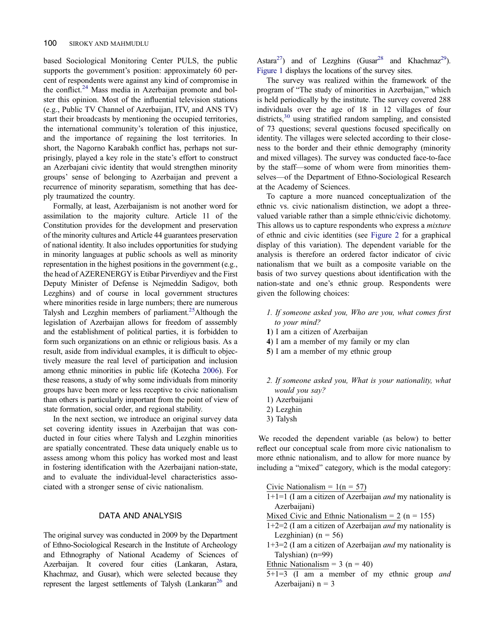based Sociological Monitoring Center PULS, the public supports the government's position: approximately 60 percent of respondents were against any kind of compromise in the conflict.<sup>[24](#page-11-0)</sup> Mass media in Azerbaijan promote and bolster this opinion. Most of the influential television stations (e.g., Public TV Channel of Azerbaijan, ITV, and ANS TV) start their broadcasts by mentioning the occupied territories, the international community's toleration of this injustice, and the importance of regaining the lost territories. In short, the Nagorno Karabakh conflict has, perhaps not surprisingly, played a key role in the state's effort to construct an Azerbajani civic identity that would strengthen minority groups' sense of belonging to Azerbaijan and prevent a recurrence of minority separatism, something that has deeply traumatized the country.

Formally, at least, Azerbaijanism is not another word for assimilation to the majority culture. Article 11 of the Constitution provides for the development and preservation of the minority cultures and Article 44 guarantees preservation of national identity. It also includes opportunities for studying in minority languages at public schools as well as minority representation in the highest positions in the government (e.g., the head of AZERENERGY is Etibar Pirverdiyev and the First Deputy Minister of Defense is Nejmeddin Sadigov, both Lezghins) and of course in local government structures where minorities reside in large numbers; there are numerous Talysh and Lezghin members of parliament.<sup>[25](#page-11-0)</sup>Although the legislation of Azerbaijan allows for freedom of asssembly and the establishment of political parties, it is forbidden to form such organizations on an ethnic or religious basis. As a result, aside from individual examples, it is difficult to objectively measure the real level of participation and inclusion among ethnic minorities in public life (Kotecha [2006\)](#page-11-0). For these reasons, a study of why some individuals from minority groups have been more or less receptive to civic nationalism than others is particularly important from the point of view of state formation, social order, and regional stability.

In the next section, we introduce an original survey data set covering identity issues in Azerbaijan that was conducted in four cities where Talysh and Lezghin minorities are spatially concentrated. These data uniquely enable us to assess among whom this policy has worked most and least in fostering identification with the Azerbaijani nation-state, and to evaluate the individual-level characteristics associated with a stronger sense of civic nationalism.

#### DATA AND ANALYSIS

The original survey was conducted in 2009 by the Department of Ethno-Sociological Research in the Institute of Archeology and Ethnography of National Academy of Sciences of Azerbaijan. It covered four cities (Lankaran, Astara, Khachmaz, and Gusar), which were selected because they represent the largest settlements of Talysh (Lankaran<sup>26</sup> and

Astara<sup>27</sup>) and of Lezghins (Gusar<sup>28</sup> and Khachmaz<sup>29</sup>). [Figure 1](#page-7-0) displays the locations of the survey sites.

The survey was realized within the framework of the program of "The study of minorities in Azerbaijan," which is held periodically by the institute. The survey covered 288 individuals over the age of 18 in 12 villages of four districts,<sup>[30](#page-11-0)</sup> using stratified random sampling, and consisted of 73 questions; several questions focused specifically on identity. The villages were selected according to their closeness to the border and their ethnic demography (minority and mixed villages). The survey was conducted face-to-face by the staff—some of whom were from minorities themselves—of the Department of Ethno-Sociological Research at the Academy of Sciences.

To capture a more nuanced conceptualization of the ethnic vs. civic nationalism distinction, we adopt a threevalued variable rather than a simple ethnic/civic dichotomy. This allows us to capture respondents who express a *mixture* of ethnic and civic identities (see [Figure 2](#page-7-0) for a graphical display of this variation). The dependent variable for the analysis is therefore an ordered factor indicator of civic nationalism that we built as a composite variable on the basis of two survey questions about identification with the nation-state and one's ethnic group. Respondents were given the following choices:

- 1. If someone asked you, Who are you, what comes first to your mind?
- 1) I am a citizen of Azerbaijan
- 4) I am a member of my family or my clan
- 5) I am a member of my ethnic group
- 2. If someone asked you, What is your nationality, what would you say?
- 1) Azerbaijani
- 2) Lezghin
- 3) Talysh

We recoded the dependent variable (as below) to better reflect our conceptual scale from more civic nationalism to more ethnic nationalism, and to allow for more nuance by including a "mixed" category, which is the modal category:

Civic Nationalism =  $1(n = 57)$ 

 $1+1=1$  (I am a citizen of Azerbaijan *and* my nationality is Azerbaijani)

Mixed Civic and Ethnic Nationalism =  $2 (n = 155)$ 

- $1+2=2$  (I am a citizen of Azerbaijan *and* my nationality is Lezghinian) ( $n = 56$ )
- $1+3=2$  (I am a citizen of Azerbaijan *and* my nationality is Talyshian) (n=99)

Ethnic Nationalism =  $3(n = 40)$ 

 $5+1=3$  (I am a member of my ethnic group and Azerbaijani)  $n = 3$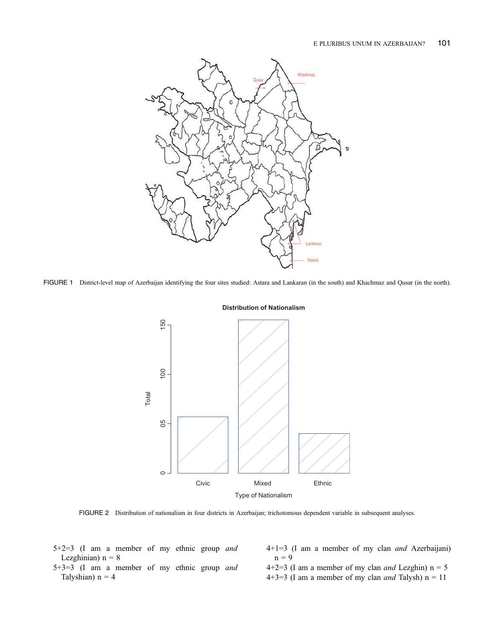<span id="page-7-0"></span>

FIGURE 1 District-level map of Azerbaijan identifying the four sites studied: Astara and Lankaran (in the south) and Khachmaz and Qusar (in the north).



#### **Distribution of Nationalism**

FIGURE 2 Distribution of nationalism in four districts in Azerbaijan; trichotomous dependent variable in subsequent analyses.

 $5+2=3$  (I am a member of my ethnic group and Lezghinian)  $n = 8$ 

4+1=3 (I am a member of my clan and Azerbaijani)  $n=9$ 

5+3=3 (I am a member of my ethnic group and Talyshian)  $n = 4$ 

 $4+2=3$  (I am a member of my clan *and* Lezghin) n = 5

4+3=3 (I am a member of my clan *and* Talysh)  $n = 11$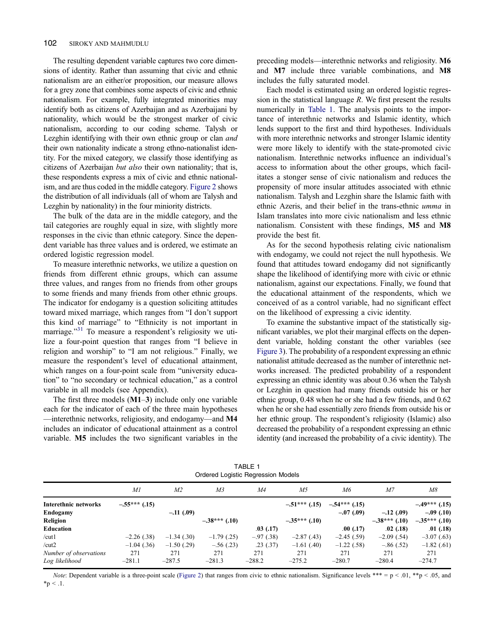The resulting dependent variable captures two core dimensions of identity. Rather than assuming that civic and ethnic nationalism are an either/or proposition, our measure allows for a grey zone that combines some aspects of civic and ethnic nationalism. For example, fully integrated minorities may identify both as citizens of Azerbaijan and as Azerbaijani by nationality, which would be the strongest marker of civic nationalism, according to our coding scheme. Talysh or Lezghin identifying with their own ethnic group or clan and their own nationality indicate a strong ethno-nationalist identity. For the mixed category, we classify those identifying as citizens of Azerbaijan but also their own nationality; that is, these respondents express a mix of civic and ethnic nationalism, and are thus coded in the middle category. [Figure 2](#page-7-0) shows the distribution of all individuals (all of whom are Talysh and Lezghin by nationality) in the four miniority districts.

The bulk of the data are in the middle category, and the tail categories are roughly equal in size, with slightly more responses in the civic than ethnic category. Since the dependent variable has three values and is ordered, we estimate an ordered logistic regression model.

To measure interethnic networks, we utilize a question on friends from different ethnic groups, which can assume three values, and ranges from no friends from other groups to some friends and many friends from other ethnic groups. The indicator for endogamy is a question soliciting attitudes toward mixed marriage, which ranges from "I don't support this kind of marriage" to "Ethnicity is not important in marriage."<sup>[31](#page-11-0)</sup> To measure a respondent's religiosity we utilize a four-point question that ranges from "I believe in religion and worship" to "I am not religious." Finally, we measure the respondent's level of educational attainment, which ranges on a four-point scale from "university education" to "no secondary or technical education," as a control variable in all models (see Appendix).

The first three models  $(M1–3)$  include only one variable each for the indicator of each of the three main hypotheses —interethnic networks, religiosity, and endogamy—and M4 includes an indicator of educational attainment as a control variable. M5 includes the two significant variables in the preceding models—interethnic networks and religiosity. M6 and M7 include three variable combinations, and M8 includes the fully saturated model.

Each model is estimated using an ordered logistic regression in the statistical language  $R$ . We first present the results numerically in Table 1. The analysis points to the importance of interethnic networks and Islamic identity, which lends support to the first and third hypotheses. Individuals with more interethnic networks and stronger Islamic identity were more likely to identify with the state-promoted civic nationalism. Interethnic networks influence an individual's access to information about the other groups, which facilitates a stonger sense of civic nationalism and reduces the propensity of more insular attitudes associated with ethnic nationalism. Talysh and Lezghin share the Islamic faith with ethnic Azeris, and their belief in the trans-ethnic umma in Islam translates into more civic nationalism and less ethnic nationalism. Consistent with these findings, M5 and M8 provide the best fit.

As for the second hypothesis relating civic nationalism with endogamy, we could not reject the null hypothesis. We found that attitudes toward endogamy did not significantly shape the likelihood of identifying more with civic or ethnic nationalism, against our expectations. Finally, we found that the educational attainment of the respondents, which we conceived of as a control variable, had no significant effect on the likelihood of expressing a civic identity.

To examine the substantive impact of the statistically significant variables, we plot their marginal effects on the dependent variable, holding constant the other variables (see [Figure 3\)](#page-9-0). The probability of a respondent expressing an ethnic nationalist attitude decreased as the number of interethnic networks increased. The predicted probability of a respondent expressing an ethnic identity was about 0.36 when the Talysh or Lezghin in question had many friends outside his or her ethnic group, 0.48 when he or she had a few friends, and 0.62 when he or she had essentially zero friends from outside his or her ethnic group. The respondent's religiosity (Islamic) also decreased the probability of a respondent expressing an ethnic identity (and increased the probability of a civic identity). The

| Ordered Logistic Regression Models |                 |                |                 |             |                 |                 |                 |                 |  |
|------------------------------------|-----------------|----------------|-----------------|-------------|-----------------|-----------------|-----------------|-----------------|--|
|                                    | M1              | M <sub>2</sub> | M <sub>3</sub>  | Μ4          | M <sub>5</sub>  | M6              | M <sub>7</sub>  | M8              |  |
| Interethnic networks               | $-.55***$ (.15) |                |                 |             | $-.51***$ (.15) | $-.54***$ (.15) |                 | $-.49***$ (.15) |  |
| Endogamy                           |                 | $-.11$ $(.09)$ |                 |             |                 | $-0.07(0.09)$   | $-.12$ (.09)    | $-.09$ $(.10)$  |  |
| Religion                           |                 |                | $-.38***$ (.10) |             | $-.35***$ (.10) |                 | $-.38***$ (.10) | $-.35***$ (.10) |  |
| Education                          |                 |                |                 | .03(.17)    |                 | .00(.17)        | .02(.18)        | .01(.18)        |  |
| /cut1                              | $-2.26$ (.38)   | $-1.34(0.30)$  | $-1.79$ (.25)   | $-.97(.38)$ | $-2.87(0.43)$   | $-2.45$ (.59)   | $-2.09$ (.54)   | $-3.07(0.63)$   |  |
| /cut2                              | $-1.04$ (.36)   | $-1.50$ (.29)  | $-.56(.23)$     | .23(.37)    | $-1.61$ (.40)   | $-1.22$ (.58)   | $-.86(.52)$     | $-1.82(0.61)$   |  |
| Number of observations             | 271             | 271            | 271             | 271         | 271             | 271             | 271             | 271             |  |
| Log likelihood                     | $-281.1$        | $-287.5$       | $-281.3$        | $-288.2$    | $-275.2$        | $-280.7$        | $-280.4$        | $-274.7$        |  |

TABLE 1<br>atta Degression Madels Ordered Logistic Regression Models

*Note*: Dependent variable is a three-point scale ([Figure 2\)](#page-7-0) that ranges from civic to ethnic nationalism. Significance levels \*\*\* = p < .01, \*\*p < .05, and  $np < 1$ .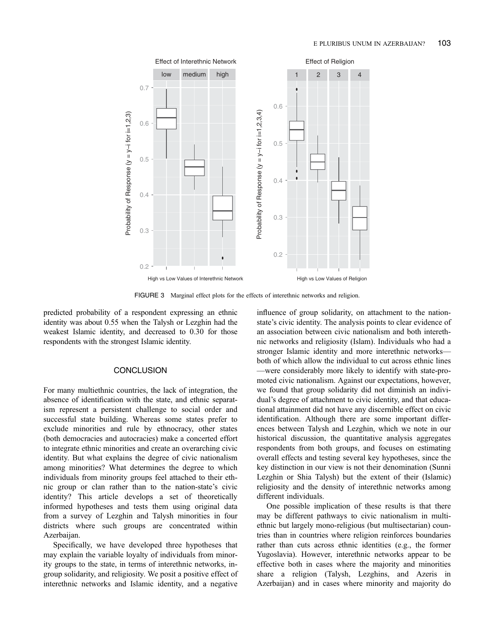<span id="page-9-0"></span>

FIGURE 3 Marginal effect plots for the effects of interethnic networks and religion.

predicted probability of a respondent expressing an ethnic identity was about 0.55 when the Talysh or Lezghin had the weakest Islamic identity, and decreased to 0.30 for those respondents with the strongest Islamic identity.

## **CONCLUSION**

For many multiethnic countries, the lack of integration, the absence of identification with the state, and ethnic separatism represent a persistent challenge to social order and successful state building. Whereas some states prefer to exclude minorities and rule by ethnocracy, other states (both democracies and autocracies) make a concerted effort to integrate ethnic minorities and create an overarching civic identity. But what explains the degree of civic nationalism among minorities? What determines the degree to which individuals from minority groups feel attached to their ethnic group or clan rather than to the nation-state's civic identity? This article develops a set of theoretically informed hypotheses and tests them using original data from a survey of Lezghin and Talysh minorities in four districts where such groups are concentrated within Azerbaijan.

Specifically, we have developed three hypotheses that may explain the variable loyalty of individuals from minority groups to the state, in terms of interethnic networks, ingroup solidarity, and religiosity. We posit a positive effect of interethnic networks and Islamic identity, and a negative

influence of group solidarity, on attachment to the nationstate's civic identity. The analysis points to clear evidence of an association between civic nationalism and both interethnic networks and religiosity (Islam). Individuals who had a stronger Islamic identity and more interethnic networks both of which allow the individual to cut across ethnic lines —were considerably more likely to identify with state-promoted civic nationalism. Against our expectations, however, we found that group solidarity did not diminish an individual's degree of attachment to civic identity, and that educational attainment did not have any discernible effect on civic identification. Although there are some important differences between Talysh and Lezghin, which we note in our historical discussion, the quantitative analysis aggregates respondents from both groups, and focuses on estimating overall effects and testing several key hypotheses, since the key distinction in our view is not their denomination (Sunni Lezghin or Shia Talysh) but the extent of their (Islamic) religiosity and the density of interethnic networks among different individuals.

One possible implication of these results is that there may be different pathways to civic nationalism in multiethnic but largely mono-religious (but multisectarian) countries than in countries where religion reinforces boundaries rather than cuts across ethnic identities (e.g., the former Yugoslavia). However, interethnic networks appear to be effective both in cases where the majority and minorities share a religion (Talysh, Lezghins, and Azeris in Azerbaijan) and in cases where minority and majority do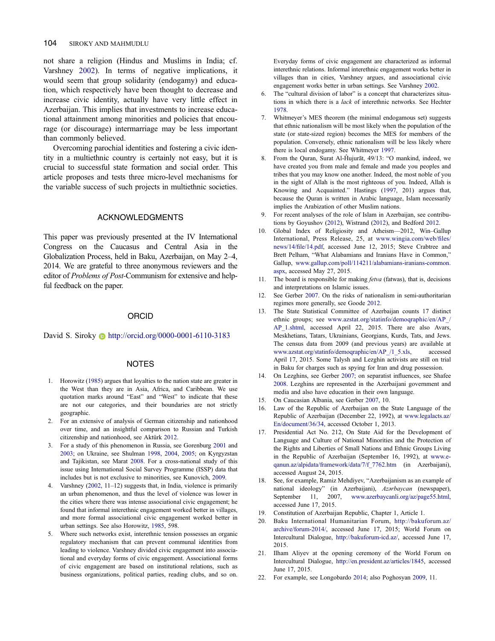<span id="page-10-0"></span>not share a religion (Hindus and Muslims in India; cf. Varshney [2002\)](#page-12-0). In terms of negative implications, it would seem that group solidarity (endogamy) and education, which respectively have been thought to decrease and increase civic identity, actually have very little effect in Azerbaijan. This implies that investments to increase educational attainment among minorities and policies that encourage (or discourage) intermarriage may be less important than commonly believed.

Overcoming parochial identities and fostering a civic identity in a multiethnic country is certainly not easy, but it is crucial to successful state formation and social order. This article proposes and tests three micro-level mechanisms for the variable success of such projects in multiethnic societies.

## ACKNOWLEDGMENTS

This paper was previously presented at the IV International Congress on the Caucasus and Central Asia in the Globalization Process, held in Baku, Azerbaijan, on May 2–4, 2014. We are grateful to three anonymous reviewers and the editor of Problems of Post-Communism for extensive and helpful feedback on the paper.

#### ORCID

#### David S. Siroky **b** <http://orcid.org/0000-0001-6110-3183>

## **NOTES**

- 1. Horowitz ([1985\)](#page-11-0) argues that loyalties to the nation state are greater in the West than they are in Asia, Africa, and Caribbean. We use quotation marks around "East" and "West" to indicate that these are not our categories, and their boundaries are not strictly geographic.
- 2. For an extensive of analysis of German citizenship and nationhood over time, and an insightful comparison to Russian and Turkish citizenship and nationhood, see Aktürk [2012.](#page-11-0)
- 3. For a study of this phenomenon in Russia, see Gorenburg [2001](#page-11-0) and [2003](#page-11-0); on Ukraine, see Shulman [1998](#page-12-0), [2004,](#page-12-0) [2005;](#page-12-0) on Kyrgyzstan and Tajikistan, see Marat [2008](#page-12-0). For a cross-national study of this issue using International Social Survey Programme (ISSP) data that includes but is not exclusive to minorities, see Kunovich, [2009](#page-11-0).
- 4. Varshney ([2002,](#page-12-0) 11–12) suggests that, in India, violence is primarily an urban phenomenon, and thus the level of violence was lower in the cities where there was intense associational civic engagement; he found that informal interethnic engagement worked better in villages, and more formal associational civic engagement worked better in urban settings. See also Horowitz, [1985](#page-11-0), 598.
- 5. Where such networks exist, interethnic tension possesses an organic regulatory mechanism that can prevent communal identities from leading to violence. Varshney divided civic engagement into associational and everyday forms of civic engagement. Associational forms of civic engagement are based on institutional relations, such as business organizations, political parties, reading clubs, and so on.

Everyday forms of civic engagement are characterized as informal interethnic relations. Informal interethnic engagement works better in villages than in cities, Varshney argues, and associational civic engagement works better in urban settings. See Varshney [2002](#page-12-0).

- 6. The "cultural division of labor" is a concept that characterizes situations in which there is a lack of interethnic networks. See Hechter [1978](#page-11-0).
- 7. Whitmeyer's MES theorem (the minimal endogamous set) suggests that ethnic nationalism will be most likely when the population of the state (or state-sized region) becomes the MES for members of the population. Conversely, ethnic nationalism will be less likely where there is local endogamy. See Whitmeyer [1997](#page-12-0).
- 8. From the Quran, Surat Al-Ĥujurāt, 49/13: "O mankind, indeed, we have created you from male and female and made you peoples and tribes that you may know one another. Indeed, the most noble of you in the sight of Allah is the most righteous of you. Indeed, Allah is Knowing and Acquainted." Hastings [\(1997](#page-11-0), 201) argues that, because the Quran is written in Arabic language, Islam necessarily implies the Arabization of other Muslim nations.
- 9. For recent analyses of the role of Islam in Azerbaijan, see contributions by Goyushov ([2012\)](#page-11-0), Wistrand ([2012](#page-12-0)), and Bedford [2012](#page-11-0).
- 10. Global Index of Religiosity and Atheism—2012, Win–Gallup International, Press Release, 25, at [www.wingia.com/web/](http://www.wingia.com/web/files/news/14/file/14.pdf)files/ news/14/fi[le/14.pdf,](http://www.wingia.com/web/files/news/14/file/14.pdf) accessed June 12, 2015; Steve Crabtree and Brett Pelham, "What Alabamians and Iranians Have in Common," Gallup, [www.gallup.com/poll/114211/alabamians-iranians-common.](http://www.gallup.com/poll/114211/alabamians-iranians-common.aspx) [aspx,](http://www.gallup.com/poll/114211/alabamians-iranians-common.aspx) accessed May 27, 2015.
- 11. The board is responsible for making *fetva* (fatwas), that is, decisions and interpretations on Islamic issues.
- 12. See Gerber [2007.](#page-11-0) On the risks of nationalism in semi-authoritarian regimes more generally, see Goode [2012](#page-11-0).
- 13. The State Statistical Committee of Azerbaijan counts 17 distinct ethnic groups; see [www.azstat.org/statinfo/demoqraphic/en/AP\\_/](http://www.azstat.org/statinfo/demoqraphic/en/AP_/AP_1.shtml) [AP\\_1.shtml,](http://www.azstat.org/statinfo/demoqraphic/en/AP_/AP_1.shtml) accessed April 22, 2015. There are also Avars, Meskhetians, Tatars, Ukrainians, Georgians, Kurds, Tats, and Jews. The census data from 2009 (and previous years) are available at [www.azstat.org/statinfo/demoqraphic/en/AP\\_/1\\_5.xls](http://www.azstat.org/statinfo/demoqraphic/en/AP_/1_5.xls), accessed April 17, 2015. Some Talysh and Lezghin activists are still on trial in Baku for charges such as spying for Iran and drug possession.
- 14. On Lezghins, see Gerber [2007](#page-11-0); on separatist influences, see Shafee [2008](#page-12-0). Lezghins are represented in the Azerbaijani government and media and also have education in their own language.
- 15. On Caucasian Albania, see Gerber [2007](#page-11-0), 10.
- 16. Law of the Republic of Azerbaijan on the State Language of the Republic of Azerbaijan (December 22, 1992), at [www.legalacts.az/](http://www.legalacts.az/En/document/36/34) [En/document/36/34,](http://www.legalacts.az/En/document/36/34) accessed October 1, 2013.
- 17. Presidential Act No. 212, On State Aid for the Development of Language and Culture of National Minorities and the Protection of the Rights and Liberties of Small Nations and Ethnic Groups Living in the Republic of Azerbaijan (September 16, 1992), at [www.e](http://www.e-qanun.az/alpidata/framework/data/7/f_7762.htm)[qanun.az/alpidata/framework/data/7/f\\_7762.htm](http://www.e-qanun.az/alpidata/framework/data/7/f_7762.htm) (in Azerbaijani), accessed August 24, 2015.
- 18. See, for example, Ramiz Mehdiyev, "Azerbaijanism as an example of national ideology" (in Azerbaijani), Azərbaycan (newspaper), September 11, 2007, [www.azerbaycanli.org/az/page55.html,](http://www.azerbaycanli.org/az/page55.html) accessed June 17, 2015.
- 19. Constitution of Azerbaijan Republic, Chapter 1, Article 1.
- 20. Baku International Humanitarian Forum, [http://bakuforum.az/](http://bakuforum.az/archive/forum-2014/) [archive/forum-2014/](http://bakuforum.az/archive/forum-2014/), accessed June 17, 2015; World Forum on Intercultural Dialogue, <http://bakuforum-icd.az/>, accessed June 17, 2015.
- 21. Ilham Aliyev at the opening ceremony of the World Forum on Intercultural Dialogue, <http://en.president.az/articles/1845>, accessed June 17, 2015.
- 22. For example, see Longobardo [2014](#page-12-0); also Poghosyan [2009](#page-12-0), 11.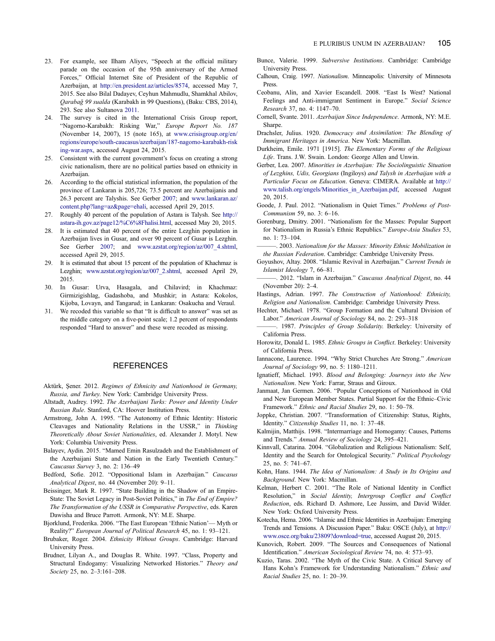- <span id="page-11-0"></span>23. For example, see Ilham Aliyev, "Speech at the official military parade on the occasion of the 95th anniversary of the Armed Forces," Official Internet Site of President of the Republic of Azerbaijan, at [http://en.president.az/articles/8574,](http://en.president.az/articles/8574) accessed May 7, 2015. See also Bilal Dadayev, Ceyhun Mahmudlu, Shamkhal Abilov, Qarabağ 99 sualda (Karabakh in 99 Questions), (Baku: CBS, 2014), 293. See also Sultanova [2011](#page-12-0).
- 24. The survey is cited in the International Crisis Group report, "Nagorno-Karabakh: Risking War," Europe Report No. 187 (November 14, 2007), 15 (note 165), at [www.crisisgroup.org/en/](http://www.crisisgroup.org/en/regions/europe/south-caucasus/azerbaijan/187-nagorno-karabakh-risking-war.aspx) [regions/europe/south-caucasus/azerbaijan/187-nagorno-karabakh-risk](http://www.crisisgroup.org/en/regions/europe/south-caucasus/azerbaijan/187-nagorno-karabakh-risking-war.aspx) [ing-war.aspx,](http://www.crisisgroup.org/en/regions/europe/south-caucasus/azerbaijan/187-nagorno-karabakh-risking-war.aspx) accessed August 24, 2015.
- 25. Consistent with the current government's focus on creating a strong civic nationalism, there are no political parties based on ethnicity in Azerbaijan.
- 26. According to the official statistical information, the population of the province of Lankaran is 205,726; 73.5 percent are Azerbaijanis and 26.3 percent are Talyshis. See Gerber 2007; and [www.lankaran.az/](http://www.lankaran.az/content.php?lang=az%26page=ehali) [content.php?lang=az&page=ehali,](http://www.lankaran.az/content.php?lang=az%26page=ehali) accessed April 29, 2015.
- 27. Roughly 40 percent of the population of Astara is Talysh. See [http://](http://astara-ih.gov.az/page12/%C6%8Fhalisi.html) [astara-ih.gov.az/page12/%C6%8Fhalisi.html,](http://astara-ih.gov.az/page12/%C6%8Fhalisi.html) accessed May 20, 2015.
- 28. It is estimated that 40 percent of the entire Lezghin population in Azerbaijan lives in Gusar, and over 90 percent of Gusar is Lezghin. See Gerber 2007; and www.azstat.org/region/az/007 4.shtml, accessed April 29, 2015.
- 29. It is estimated that about 15 percent of the population of Khachmaz is Lezghin; [www.azstat.org/region/az/007\\_2.shtml,](http://www.azstat.org/region/az/007_2.shtml) accessed April 29, 2015.
- 30. In Gusar: Urva, Hasagala, and Chilavird; in Khachmaz: Girmizigishlag, Gadashoba, and Mushkir; in Astara: Kokolos, Kijoba, Lovayn, and Tangarud; in Lankaran: Osakucha and Veraul.
- 31. We recoded this variable so that "It is difficult to answer" was set as the middle category on a five-point scale; 1.2 percent of respondents responded "Hard to answer" and these were recoded as missing.

#### **REFERENCES**

- Aktürk, Şener. 2012. Regimes of Ethnicity and Nationhood in Germany, Russia, and Turkey. New York: Cambridge University Press.
- Altstadt, Audrey. 1992. The Azerbaijani Turks: Power and Identity Under Russian Rule. Stanford, CA: Hoover Institution Press.
- Armstrong, John A. 1995. "The Autonomy of Ethnic Identity: Historic Cleavages and Nationality Relations in the USSR," in Thinking Theoretically About Soviet Nationalities, ed. Alexander J. Motyl. New York: Columbia University Press.
- Balayev, Aydin. 2015. "Mamed Emin Rasulzadeh and the Establishment of the Azerbaijani State and Nation in the Early Twentieth Century." Caucasus Survey 3, no. 2: 136–49
- Bedford, Sofie. 2012. "Oppositional Islam in Azerbaijan." Caucasus Analytical Digest, no. 44 (November 20): 9–11.
- Beissinger, Mark R. 1997. "State Building in the Shadow of an Empire-State: The Soviet Legacy in Post-Soviet Politics," in The End of Empire? The Transformation of the USSR in Comparative Perspective, eds. Karen Dawisha and Bruce Parrott. Armonk, NY: M.E. Sharpe.
- Bjorklund, Frederika. 2006. "The East European 'Ethnic Nation'— Myth or Reality?" European Journal of Political Research 45, no. 1: 93–121.
- Brubaker, Roger. 2004. Ethnicity Without Groups. Cambridge: Harvard University Press.
- Brudner, Lilyan A., and Douglas R. White. 1997. "Class, Property and Structural Endogamy: Visualizing Networked Histories." Theory and Society 25, no. 2–3:161–208.
- Bunce, Valerie. 1999. Subversive Institutions. Cambridge: Cambridge University Press.
- Calhoun, Craig. 1997. Nationalism. Minneapolis: University of Minnesota Press.
- Ceobanu, Alin, and Xavier Escandell. 2008. "East Is West? National Feelings and Anti-immigrant Sentiment in Europe." Social Science Research 37, no. 4: 1147–70.
- Cornell, Svante. 2011. Azerbaijan Since Independence. Armonk, NY: M.E. Sharpe.
- Drachsler, Julius. 1920. Democracy and Assimilation: The Blending of Immigrant Heritages in America. New York: Macmillan.
- Durkheim, Emile. 1971 [1915]. The Elementary Forms of the Religious Life. Trans. J.W. Swain. London: George Allen and Unwin.
- Gerber, Lea. 2007. Minorities in Azerbaijan: The Sociolinguistic Situation of Lezghins, Udis, Georgians (Ingiloys) and Talysh in Azerbaijan with a Particular Focus on Education. Geneva: CIMERA. Available at [http://](http://www.talish.org/engels/Minorities_in_Azerbaijan.pdf) [www.talish.org/engels/Minorities\\_in\\_Azerbaijan.pdf,](http://www.talish.org/engels/Minorities_in_Azerbaijan.pdf) accessed August 20, 2015.
- Goode, J. Paul. 2012. "Nationalism in Quiet Times." Problems of Post-Communism 59, no. 3: 6–16.
- Gorenburg, Dmitry. 2001. "Nationalism for the Masses: Popular Support for Nationalism in Russia's Ethnic Republics." Europe-Asia Studies 53, no. 1: 73–104.
- -. 2003. Nationalism for the Masses: Minority Ethnic Mobilization in the Russian Federation. Cambridge: Cambridge University Press.
- Goyushov, Altay. 2008. "Islamic Revival in Azerbaijan." Current Trends in Islamist Ideology 7, 66–81.
- -. 2012. "Islam in Azerbaijan." Caucasus Analytical Digest, no. 44 (November 20): 2–4.
- Hastings, Adrian. 1997. The Construction of Nationhood: Ethnicity, Religion and Nationalism. Cambridge: Cambridge University Press.
- Hechter, Michael. 1978. "Group Formation and the Cultural Division of Labor." American Journal of Sociology 84, no. 2: 293–318
- -. 1987. Principles of Group Solidarity. Berkeley: University of California Press.
- Horowitz, Donald L. 1985. Ethnic Groups in Conflict. Berkeley: University of California Press.
- Iannacone, Laurence. 1994. "Why Strict Churches Are Strong." American Journal of Sociology 99, no. 5: 1180–1211.
- Ignatieff, Michael. 1993. Blood and Belonging: Journeys into the New Nationalism. New York: Farrar, Straus and Giroux.
- Janmaat, Jan Germen. 2006. "Popular Conceptions of Nationhood in Old and New European Member States. Partial Support for the Ethnic–Civic Framework." Ethnic and Racial Studies 29, no. 1: 50–78.
- Joppke, Christian. 2007. "Transformation of Citizenship: Status, Rights, Identity." Citizenship Studies 11, no. 1: 37–48.
- Kalmijin, Matthijs. 1998. "Intermarriage and Homogamy: Causes, Patterns and Trends." Annual Review of Sociology 24, 395–421.
- Kinnvall, Catarina. 2004. "Globalization and Religious Nationalism: Self, Identity and the Search for Ontological Security." Political Psychology 25, no. 5: 741–67.
- Kohn, Hans. 1944. The Idea of Nationalism: A Study in Its Origins and Background. New York: Macmillan.
- Kelman, Herbert C. 2001. "The Role of National Identity in Conflict Resolution," in Social Identity, Intergroup Conflict and Conflict Reduction, eds. Richard D. Ashmore, Lee Jussim, and David Wilder. New York: Oxford University Press.
- Kotecha, Hema. 2006. "Islamic and Ethnic Identities in Azerbaijan: Emerging Trends and Tensions. A Discussion Paper." Baku: OSCE (July), at [http://](http://www.osce.org/baku/23809?download=true) [www.osce.org/baku/23809?download=true,](http://www.osce.org/baku/23809?download=true) accessed August 20, 2015.
- Kunovich, Robert. 2009. "The Sources and Consequences of National Identification." American Sociological Review 74, no. 4: 573–93.
- Kuzio, Taras. 2002. "The Myth of the Civic State. A Critical Survey of Hans Kohn's Framework for Understanding Nationalism." Ethnic and Racial Studies 25, no. 1: 20–39.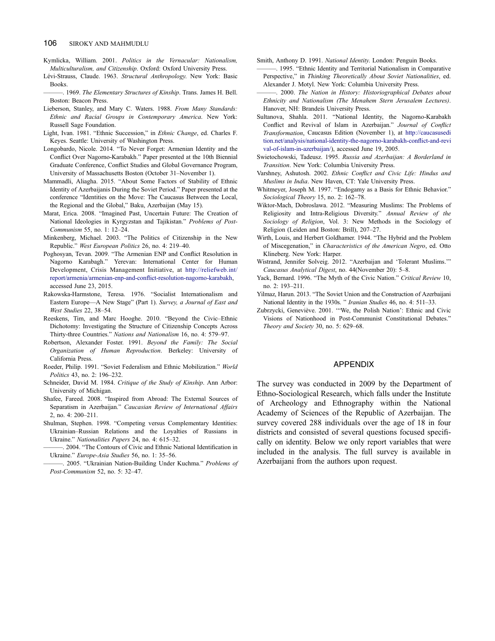#### <span id="page-12-0"></span>106 SIROKY AND MAHMUDLU

- Kymlicka, William. 2001. Politics in the Vernacular: Nationalism, Multiculturalism, and Citizenship. Oxford: Oxford University Press.
- Lévi-Strauss, Claude. 1963. Structural Anthropology. New York: Basic Books.
- -. 1969. The Elementary Structures of Kinship. Trans. James H. Bell. Boston: Beacon Press.
- Lieberson, Stanley, and Mary C. Waters. 1988. From Many Standards: Ethnic and Racial Groups in Contemporary America. New York: Russell Sage Foundation.
- Light, Ivan. 1981. "Ethnic Succession," in Ethnic Change, ed. Charles F. Keyes. Seattle: University of Washington Press.
- Longobardo, Nicole. 2014. "To Never Forget: Armenian Identity and the Conflict Over Nagorno-Karabakh." Paper presented at the 10th Biennial Graduate Conference, Conflict Studies and Global Governance Program, University of Massachusetts Boston (October 31–November 1).
- Mammadli, Aliagha. 2015. "About Some Factors of Stability of Ethnic Identity of Azerbaijanis During the Soviet Period." Paper presented at the conference "Identities on the Move: The Caucasus Between the Local, the Regional and the Global," Baku, Azerbaijan (May 15).
- Marat, Erica. 2008. "Imagined Past, Uncertain Future: The Creation of National Ideologies in Kyrgyzstan and Tajikistan." Problems of Post-Communism 55, no. 1: 12–24.
- Minkenberg, Michael. 2003. "The Politics of Citizenship in the New Republic." West European Politics 26, no. 4: 219–40.
- Poghosyan, Tevan. 2009. "The Armenian ENP and Conflict Resolution in Nagorno Karabagh." Yerevan: International Center for Human Development, Crisis Management Initiative, at [http://reliefweb.int/](http://reliefweb.int/report/armenia/armenian-enp-and-conflict-resolution-nagorno-karabakh) [report/armenia/armenian-enp-and-con](http://reliefweb.int/report/armenia/armenian-enp-and-conflict-resolution-nagorno-karabakh)flict-resolution-nagorno-karabakh, accessed June 23, 2015.
- Rakowska-Harmstone, Teresa. 1976. "Socialist Internationalism and Eastern Europe—A New Stage" (Part 1). Survey, a Journal of East and West Studies 22, 38–54.
- Reeskens, Tim, and Marc Hooghe. 2010. "Beyond the Civic–Ethnic Dichotomy: Investigating the Structure of Citizenship Concepts Across Thirty-three Countries." Nations and Nationalism 16, no. 4: 579–97.
- Robertson, Alexander Foster. 1991. Beyond the Family: The Social Organization of Human Reproduction. Berkeley: University of California Press.
- Roeder, Philip. 1991. "Soviet Federalism and Ethnic Mobilization." World Politics 43, no. 2: 196–232.
- Schneider, David M. 1984. Critique of the Study of Kinship. Ann Arbor: University of Michigan.
- Shafee, Fareed. 2008. "Inspired from Abroad: The External Sources of Separatism in Azerbaijan." Caucasian Review of International Affairs 2, no. 4: 200–211.
- Shulman, Stephen. 1998. "Competing versus Complementary Identities: Ukrainian–Russian Relations and the Loyalties of Russians in Ukraine." Nationalities Papers 24, no. 4: 615–32.
- ———. 2004. "The Contours of Civic and Ethnic National Identification in Ukraine." Europe-Asia Studies 56, no. 1: 35–56.
- -. 2005. "Ukrainian Nation-Building Under Kuchma." Problems of Post-Communism 52, no. 5: 32–47.

Smith, Anthony D. 1991. National Identity. London: Penguin Books.

- ———. 1995. "Ethnic Identity and Territorial Nationalism in Comparative Perspective," in Thinking Theoretically About Soviet Nationalities, ed. Alexander J. Motyl. New York: Columbia University Press.
- -. 2000. The Nation in History: Historiographical Debates about Ethnicity and Nationalism (The Menahem Stern Jerusalem Lectures). Hanover, NH: Brandeis University Press.
- Sultanova, Shahla. 2011. "National Identity, the Nagorno-Karabakh Conflict and Revival of Islam in Azerbaijan." Journal of Conflict Transformation, Caucasus Edition (November 1), at [http://caucasusedi](http://caucasusedition.net/analysis/national-identity-the-nagorno-karabakh-conflict-and-revival-of-islam-in-azerbaijan/) [tion.net/analysis/national-identity-the-nagorno-karabakh-con](http://caucasusedition.net/analysis/national-identity-the-nagorno-karabakh-conflict-and-revival-of-islam-in-azerbaijan/)flict-and-revi [val-of-islam-in-azerbaijan/\)](http://caucasusedition.net/analysis/national-identity-the-nagorno-karabakh-conflict-and-revival-of-islam-in-azerbaijan/), accessed June 19, 2005.
- Swietochowski, Tadeusz. 1995. Russia and Azerbaijan: A Borderland in Transition. New York: Columbia University Press.
- Varshney, Ashutosh. 2002. Ethnic Conflict and Civic Life: Hindus and Muslims in India. New Haven, CT: Yale University Press.
- Whitmeyer, Joseph M. 1997. "Endogamy as a Basis for Ethnic Behavior." Sociological Theory 15, no. 2: 162-78.
- Wiktor-Mach, Dobroslawa. 2012. "Measuring Muslims: The Problems of Religiosity and Intra-Religious Diversity." Annual Review of the Sociology of Religion, Vol. 3: New Methods in the Sociology of Religion (Leiden and Boston: Brill), 207–27.
- Wirth, Louis, and Herbert Goldhamer. 1944. "The Hybrid and the Problem of Miscegenation," in Characteristics of the American Negro, ed. Otto Klineberg. New York: Harper.
- Wistrand, Jennifer Solveig. 2012. "Azerbaijan and 'Tolerant Muslims.'" Caucasus Analytical Digest, no. 44(November 20): 5–8.
- Yack, Bernard. 1996. "The Myth of the Civic Nation." Critical Review 10, no. 2: 193–211.
- Yilmaz, Harun. 2013. "The Soviet Union and the Construction of Azerbaijani National Identity in the 1930s. " Iranian Studies 46, no. 4: 511–33.
- Zubrzycki, Geneviève. 2001. '"We, the Polish Nation': Ethnic and Civic Visions of Nationhood in Post-Communist Constitutional Debates." Theory and Society 30, no. 5: 629–68.

#### APPENDIX

The survey was conducted in 2009 by the Department of Ethno-Sociological Research, which falls under the Institute of Archeology and Ethnography within the National Academy of Sciences of the Republic of Azerbaijan. The survey covered 288 individuals over the age of 18 in four districts and consisted of several questions focused specifically on identity. Below we only report variables that were included in the analysis. The full survey is available in Azerbaijani from the authors upon request.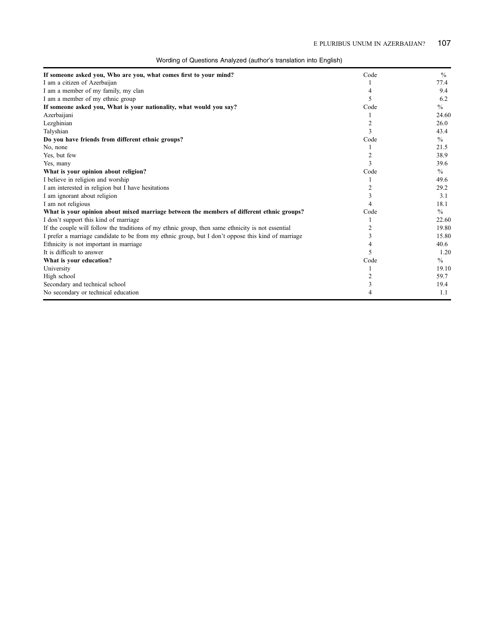| If someone asked you, Who are you, what comes first to your mind?                                  | Code | $\%$  |
|----------------------------------------------------------------------------------------------------|------|-------|
| I am a citizen of Azerbaijan                                                                       |      | 77.4  |
| I am a member of my family, my clan                                                                |      | 9.4   |
| I am a member of my ethnic group                                                                   |      | 6.2   |
| If someone asked you, What is your nationality, what would you say?                                | Code | $\%$  |
| Azerbaijani                                                                                        |      | 24.60 |
| Lezghinian                                                                                         |      | 26.0  |
| Talyshian                                                                                          | 3    | 43.4  |
| Do you have friends from different ethnic groups?                                                  | Code | $\%$  |
| No, none                                                                                           |      | 21.5  |
| Yes, but few                                                                                       |      | 38.9  |
| Yes, many                                                                                          | 3    | 39.6  |
| What is your opinion about religion?                                                               | Code | $\%$  |
| I believe in religion and worship                                                                  |      | 49.6  |
| I am interested in religion but I have hesitations                                                 |      | 29.2  |
| I am ignorant about religion                                                                       |      | 3.1   |
| I am not religious                                                                                 | 4    | 18.1  |
| What is your opinion about mixed marriage between the members of different ethnic groups?          | Code | $\%$  |
| I don't support this kind of marriage                                                              |      | 22.60 |
| If the couple will follow the traditions of my ethnic group, then same ethnicity is not essential  |      | 19.80 |
| I prefer a marriage candidate to be from my ethnic group, but I don't oppose this kind of marriage |      | 15.80 |
| Ethnicity is not important in marriage                                                             |      | 40.6  |
| It is difficult to answer                                                                          | 5    | 1.20  |
| What is your education?                                                                            | Code | $\%$  |
| University                                                                                         |      | 19.10 |
| High school                                                                                        |      | 59.7  |
| Secondary and technical school                                                                     |      | 19.4  |
| No secondary or technical education                                                                |      | 1.1   |

Wording of Questions Analyzed (author's translation into English)